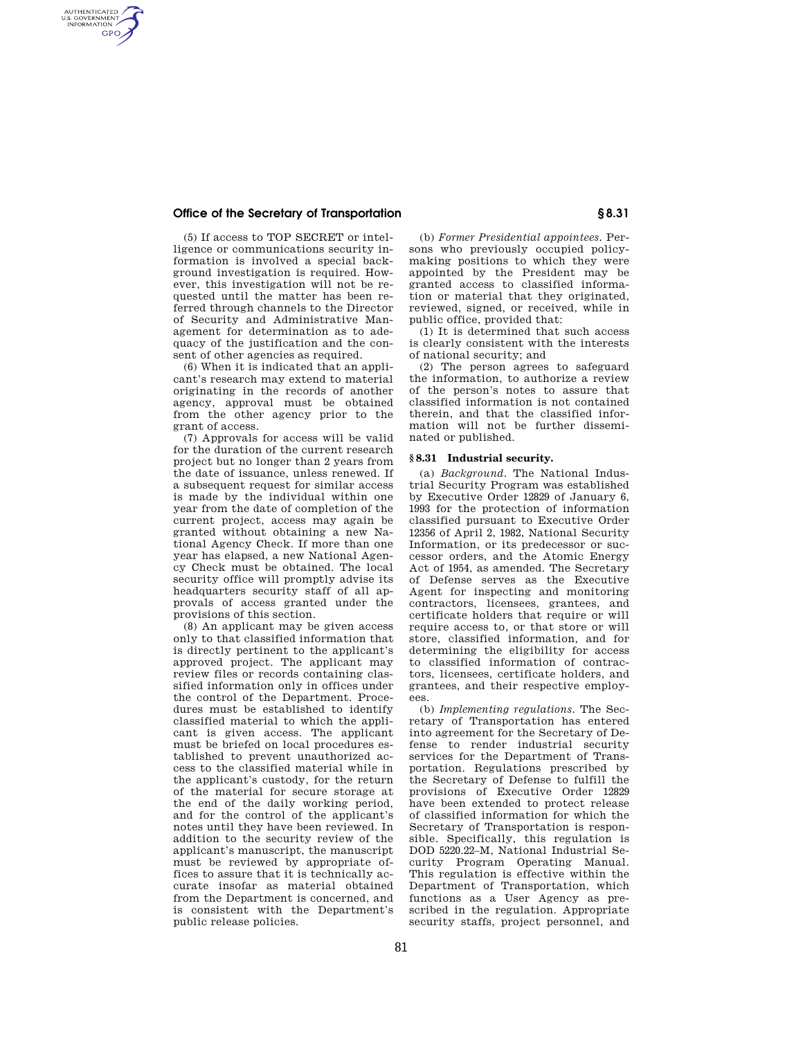### **Office of the Secretary of Transportation § 8.31**

AUTHENTICATED<br>U.S. GOVERNMENT<br>INFORMATION **GPO** 

> (5) If access to TOP SECRET or intelligence or communications security information is involved a special background investigation is required. However, this investigation will not be requested until the matter has been referred through channels to the Director of Security and Administrative Management for determination as to adequacy of the justification and the consent of other agencies as required.

> (6) When it is indicated that an applicant's research may extend to material originating in the records of another agency, approval must be obtained from the other agency prior to the grant of access.

> (7) Approvals for access will be valid for the duration of the current research project but no longer than 2 years from the date of issuance, unless renewed. If a subsequent request for similar access is made by the individual within one year from the date of completion of the current project, access may again be granted without obtaining a new National Agency Check. If more than one year has elapsed, a new National Agency Check must be obtained. The local security office will promptly advise its headquarters security staff of all approvals of access granted under the provisions of this section.

> (8) An applicant may be given access only to that classified information that is directly pertinent to the applicant's approved project. The applicant may review files or records containing classified information only in offices under the control of the Department. Procedures must be established to identify classified material to which the applicant is given access. The applicant must be briefed on local procedures established to prevent unauthorized access to the classified material while in the applicant's custody, for the return of the material for secure storage at the end of the daily working period, and for the control of the applicant's notes until they have been reviewed. In addition to the security review of the applicant's manuscript, the manuscript must be reviewed by appropriate offices to assure that it is technically accurate insofar as material obtained from the Department is concerned, and is consistent with the Department's public release policies.

(b) *Former Presidential appointees.* Persons who previously occupied policymaking positions to which they were appointed by the President may be granted access to classified information or material that they originated, reviewed, signed, or received, while in public office, provided that:

(1) It is determined that such access is clearly consistent with the interests of national security; and

(2) The person agrees to safeguard the information, to authorize a review of the person's notes to assure that classified information is not contained therein, and that the classified information will not be further disseminated or published.

#### **§ 8.31 Industrial security.**

(a) *Background.* The National Industrial Security Program was established by Executive Order 12829 of January 6, 1993 for the protection of information classified pursuant to Executive Order 12356 of April 2, 1982, National Security Information, or its predecessor or successor orders, and the Atomic Energy Act of 1954, as amended. The Secretary of Defense serves as the Executive Agent for inspecting and monitoring contractors, licensees, grantees, and certificate holders that require or will require access to, or that store or will store, classified information, and for determining the eligibility for access to classified information of contractors, licensees, certificate holders, and grantees, and their respective employees.

(b) *Implementing regulations.* The Secretary of Transportation has entered into agreement for the Secretary of Defense to render industrial security services for the Department of Transportation. Regulations prescribed by the Secretary of Defense to fulfill the provisions of Executive Order 12829 have been extended to protect release of classified information for which the Secretary of Transportation is responsible. Specifically, this regulation is DOD 5220.22–M, National Industrial Security Program Operating Manual. This regulation is effective within the Department of Transportation, which functions as a User Agency as prescribed in the regulation. Appropriate security staffs, project personnel, and